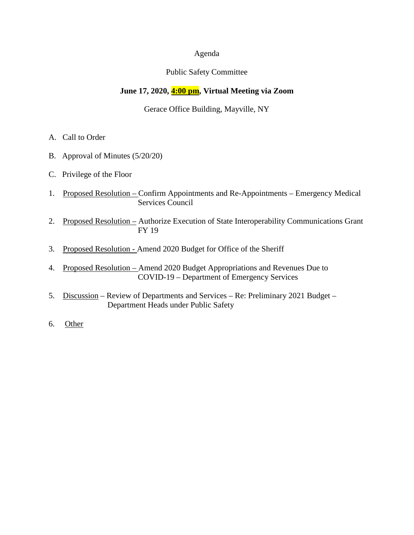## Agenda

## Public Safety Committee

# **June 17, 2020, 4:00 pm, Virtual Meeting via Zoom**

## Gerace Office Building, Mayville, NY

- A. Call to Order
- B. Approval of Minutes (5/20/20)
- C. Privilege of the Floor
- 1. Proposed Resolution Confirm Appointments and Re-Appointments Emergency Medical Services Council
- 2. Proposed Resolution Authorize Execution of State Interoperability Communications Grant FY 19
- 3. Proposed Resolution Amend 2020 Budget for Office of the Sheriff
- 4. Proposed Resolution Amend 2020 Budget Appropriations and Revenues Due to COVID-19 – Department of Emergency Services
- 5. Discussion Review of Departments and Services Re: Preliminary 2021 Budget Department Heads under Public Safety
- 6. Other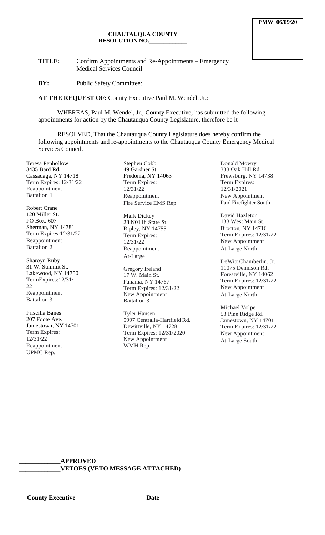#### **CHAUTAUQUA COUNTY RESOLUTION NO.\_\_\_\_\_\_\_\_\_\_\_\_\_**

**TITLE:** Confirm Appointments and Re-Appointments – Emergency Medical Services Council

**BY:** Public Safety Committee:

**AT THE REQUEST OF:** County Executive Paul M. Wendel, Jr.:

WHEREAS, Paul M. Wendel, Jr., County Executive, has submitted the following appointments for action by the Chautauqua County Legislature, therefore be it

RESOLVED, That the Chautauqua County Legislature does hereby confirm the following appointments and re-appointments to the Chautauqua County Emergency Medical Services Council.

Teresa Penhollow 3435 Bard Rd. Cassadaga, NY 14718 Term Expires: 12/31/22 Reappointment Battalion 1

Robert Crane 120 Miller St. PO Box. 607 Sherman, NY 14781 Term Expires:12/31/22 Reappointment Battalion 2

Sharoyn Ruby 31 W. Summit St. Lakewood, NY 14750 TermExpires:12/31/ 22 Reappointment Battalion 3

Priscilla Banes 207 Foote Ave. Jamestown, NY 14701 Term Expires: 12/31/22 Reappointment UPMC Rep.

Stephen Cobb 49 Gardner St. Fredonia, NY 14063 Term Expires: 12/31/22 Reappointment Fire Service EMS Rep.

Mark Dickey 28 N011h State St. Ripley, NY 14755 Term Expires: 12/31/22 Reappointment At-Large

Gregory Ireland 17 W. Main St. Panama, NY 14767 Term Expires: 12/31/22 New Appointment Battalion 3

Tyler Hansen 5997 Centralia-Hartfield Rd. Dewittville, NY 14728 Term Expires: 12/31/2020 New Appointment WMH Rep.

Donald Mowry 333 Oak Hill Rd. Frewsburg, NY 14738 Term Expires: 12/31/2021 New Appointment Paid Firefighter South

David Hazleton 133 West Main St. Brocton, NY 14716 Term Expires: 12/31/22 New Appointment At-Large North

DeWitt Chamberlin, Jr. 11075 Dennison Rd. Forestville, NY 14062 Term Expires: 12/31/22 New Appointment At-Large North

Michael Volpe 53 Pine Ridge Rd. Jamestown, NY 14701 Term Expires: 12/31/22 New Appointment At-Large South

# **\_\_\_\_\_\_\_\_\_\_\_\_\_APPROVED**

\_\_\_\_\_\_\_\_\_\_\_\_\_\_\_\_\_\_\_\_\_\_\_\_\_\_\_\_\_\_\_\_\_\_ \_\_\_\_\_\_\_\_\_\_\_\_\_\_

**\_\_\_\_\_\_\_\_\_\_\_\_\_VETOES (VETO MESSAGE ATTACHED)**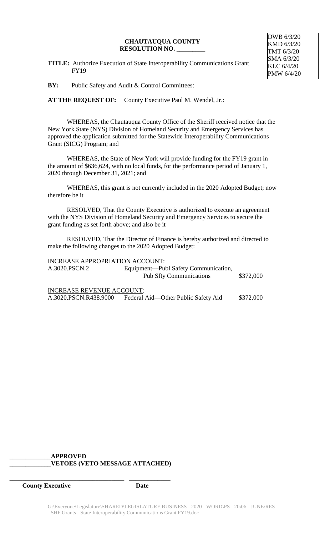#### **CHAUTAUQUA COUNTY RESOLUTION NO. \_\_\_\_\_\_\_\_\_**

**TITLE:** Authorize Execution of State Interoperability Communications Grant FY19

**BY:** Public Safety and Audit & Control Committees:

AT THE REQUEST OF: County Executive Paul M. Wendel, Jr.:

WHEREAS, the Chautauqua County Office of the Sheriff received notice that the New York State (NYS) Division of Homeland Security and Emergency Services has approved the application submitted for the Statewide Interoperability Communications Grant (SICG) Program; and

WHEREAS, the State of New York will provide funding for the FY19 grant in the amount of \$636,624, with no local funds, for the performance period of January 1, 2020 through December 31, 2021; and

WHEREAS, this grant is not currently included in the 2020 Adopted Budget; now therefore be it

RESOLVED, That the County Executive is authorized to execute an agreement with the NYS Division of Homeland Security and Emergency Services to secure the grant funding as set forth above; and also be it

RESOLVED, That the Director of Finance is hereby authorized and directed to make the following changes to the 2020 Adopted Budget:

| <b>INCREASE APPROPRIATION ACCOUNT:</b> |                                      |           |
|----------------------------------------|--------------------------------------|-----------|
| A.3020.PSCN.2                          | Equipment—Publ Safety Communication, |           |
|                                        | <b>Pub Sfty Communications</b>       | \$372,000 |
| <b>INCREASE REVENUE ACCOUNT:</b>       |                                      |           |
| A.3020.PSCN.R438.9000                  | Federal Aid—Other Public Safety Aid  | \$372,000 |

# **\_\_\_\_\_\_\_\_\_\_\_\_\_APPROVED \_\_\_\_\_\_\_\_\_\_\_\_\_VETOES (VETO MESSAGE ATTACHED)**

**\_\_\_\_\_\_\_\_\_\_\_\_\_\_\_\_\_\_\_\_\_\_\_\_\_\_\_\_\_\_\_\_\_\_\_\_ \_\_\_\_\_\_\_\_\_\_\_\_\_**

*County Executive* Date

DWB 6/3/20 KMD 6/3/20 TMT 6/3/20 SMA 6/3/20 KLC 6/4/20 PMW 6/4/20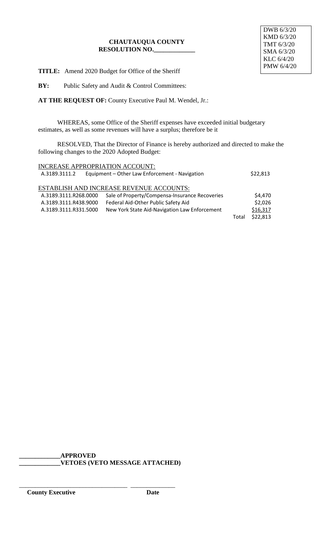## **CHAUTAUQUA COUNTY RESOLUTION NO.\_\_\_\_\_\_\_\_\_\_\_\_\_**

DWB 6/3/20 KMD 6/3/20 TMT 6/3/20 SMA 6/3/20 KLC 6/4/20 PMW 6/4/20

**TITLE:** Amend 2020 Budget for Office of the Sheriff

**BY:** Public Safety and Audit & Control Committees:

**AT THE REQUEST OF:** County Executive Paul M. Wendel, Jr.:

WHEREAS, some Office of the Sheriff expenses have exceeded initial budgetary estimates, as well as some revenues will have a surplus; therefore be it

RESOLVED, That the Director of Finance is hereby authorized and directed to make the following changes to the 2020 Adopted Budget:

| INCREASE APPROPRIATION ACCOUNT:                 |                                                |       |          |
|-------------------------------------------------|------------------------------------------------|-------|----------|
| A.3189.3111.2                                   | Equipment - Other Law Enforcement - Navigation |       | \$22,813 |
|                                                 |                                                |       |          |
| <b>ESTABLISH AND INCREASE REVENUE ACCOUNTS:</b> |                                                |       |          |
| A.3189.3111.R268.0000                           | Sale of Property/Compensa-Insurance Recoveries |       | \$4,470  |
| A.3189.3111.R438.9000                           | Federal Aid-Other Public Safety Aid            |       | \$2,026  |
| A.3189.3111.R331.5000                           | New York State Aid-Navigation Law Enforcement  |       | \$16,317 |
|                                                 |                                                | Total | \$22,813 |

**\_\_\_\_\_\_\_\_\_\_\_\_\_APPROVED \_\_\_\_\_\_\_\_\_\_\_\_\_VETOES (VETO MESSAGE ATTACHED)**

\_\_\_\_\_\_\_\_\_\_\_\_\_\_\_\_\_\_\_\_\_\_\_\_\_\_\_\_\_\_\_\_\_\_ \_\_\_\_\_\_\_\_\_\_\_\_\_\_